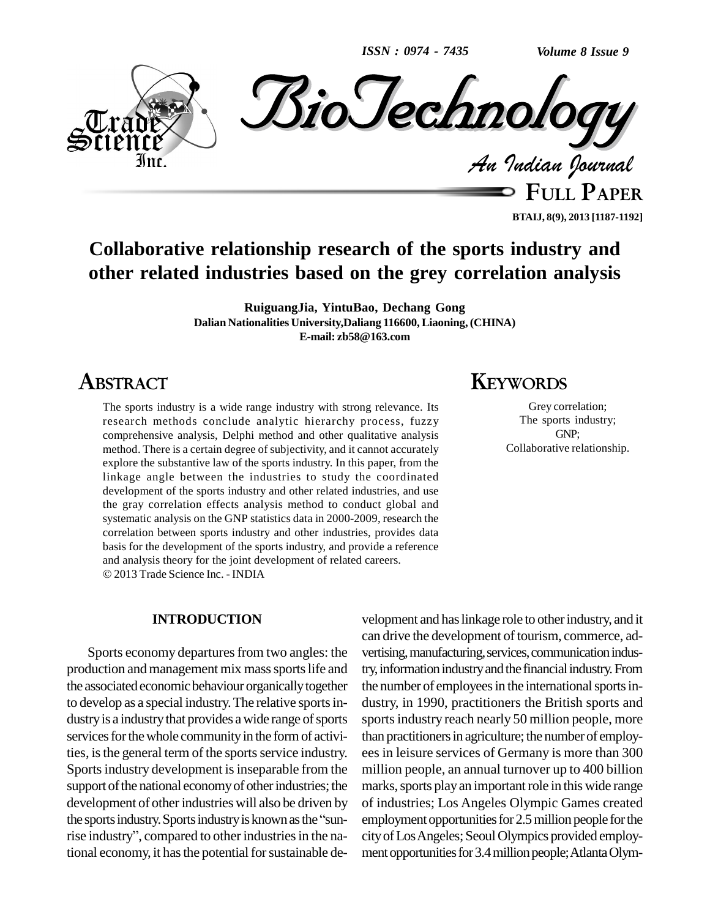*ISSN : 0974 - 7435*

*Volume 8 Issue 9*



**FULL PAPER BTAIJ, 8(9), 2013 [1187-1192]**

# **Collaborative relationship research of the sports industry and other related industries based on the grey correlation analysis**

**RuiguangJia, YintuBao, Dechang Gong Dalian Nationalities University,Daliang 116600, Liaoning, (CHINA) E-mail: [zb58@163.com](mailto:zb58@163.com)**

# **ABSTRACT**

The sports industry is a wide range industry with strong relevance. Its research methods conclude analytic hierarchy process, fuzzy comprehensive analysis, Delphi method and other qualitative analysis method. There is a certain degree of subjectivity, and it cannot accurately explore the substantive law of the sports industry. In this paper, from the linkage angle between the industries to study the coordinated development of the sports industry and other related industries, and use the gray correlation effects analysis method to conduct global and systematic analysis on the GNP statistics data in 2000-2009, research the correlation between sports industry and other industries, provides data basis for the development of the sports industry, and provide a reference and analysis theory for the joint development of related careers. 2013 Trade Science Inc. - INDIA

## **INTRODUCTION**

Sports economy departures from two angles: the production and management mix mass sports life and the associated economic behaviour organically together to develop as a special industry. The relative sports industry is a industry that provides a wide range of sports services for the whole community in the form of activities, is the general term of the sports service industry. Sports industry development is inseparable from the support of the national economy of other industries; the development of other industries will also be driven by of indu support of the national economy of other industries; the<br>development of other industries will also be driven by<br>the sports industry. Sports industry is known as the "sundevelopment of other industries will also be driven by<br>the sports industry. Sports industry is known as the "sun-<br>rise industry", compared to other industries in the national economy, it has the potential for sustainable de-

# **KEYWORDS**

Grey correlation; The sports industry; GNP; Collaborative relationship.

velopment and haslinkage role to otherindustry, and it can drive the development of tourism, commerce, advertising, manufacturing, services, communication industry, information industry and the financial industry. From the number of employees in the international sports industry, in 1990, practitioners the British sports and sports industry reach nearly 50 million people, more than practitioners in agriculture; the number of employees in leisure services of Germany is more than 300 million people, an annual turnover up to 400 billion marks, sports play an important role in this wide range of industries; Los Angeles Olympic Games created employment opportunities for 2.5 million people for the city of Los Angeles; Seoul Olympics provided employment opportunities for 3.4 million people; Atlanta Olym-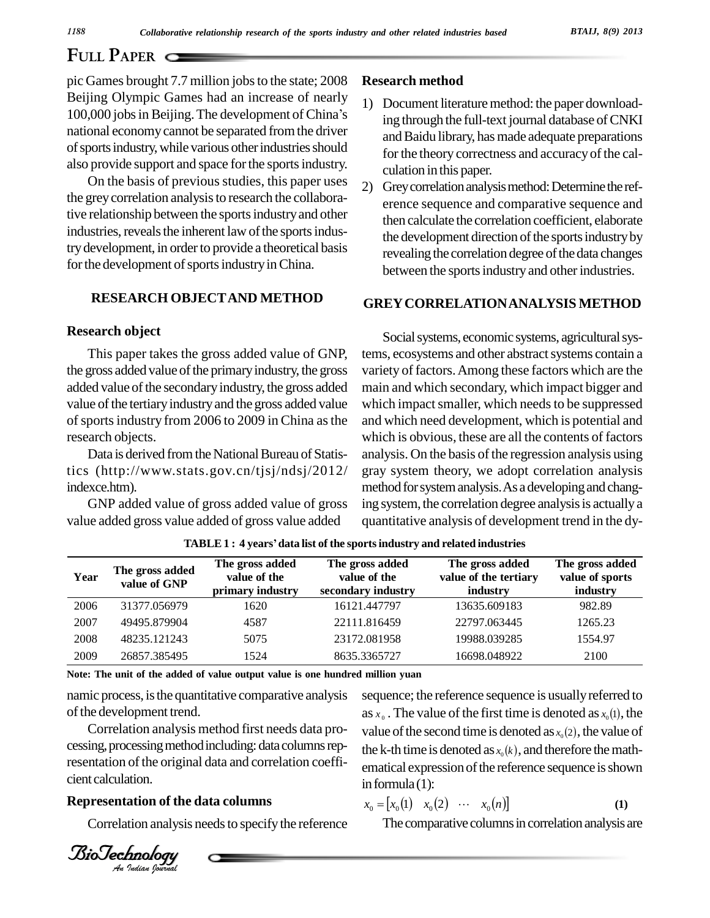# **FULL PAPER**

pic Games brought 7.7 million jobs to the state; 2008 Reseau<br>Beijing Olympic Games had an increase of nearly 1) Do<br>100,000 jobs in Beijing. The development of China's Beijing Olympic Games had an increase of nearly national economycannot be separated fromthe driver of sports industry, while various other industries should also provide support and space for the sports industry.

On the basis of previous studies, this paper uses  $\begin{pmatrix} 2 \end{pmatrix}$ the grey correlation analysis to research the collaborative relationship between the sports industry and other industries, reveals the inherent law of the sports industry development, in order to provide a theoretical basis for the development of sports industry in China.

## **RESEARCH OBJECTAND METHOD**

## **Research object**

This paper takes the gross added value of GNP, the gross added value of the primary industry, the gross added value of the secondary industry, the gross added value of the tertiary industry and the gross added value of sports industry from 2006 to 2009 in China as the research objects.

Data is derived from the National Bureau of Statistics (http://www.stats.gov.cn/tjsj/ndsj/2012/ indexce.htm).

GNP added value of gross added value of gross value added gross value added of gross value added

#### **Research method**

- 1) Document literature method: the paper downloading through the full-text journal database of CNKI and Baidu library, has made adequate preparations for the theory correctness and accuracy of the calculation in this paper.
- Grey correlation analysis method: Determine the reference sequence and comparative sequence and then calculate the correlation coefficient, elaborate the development direction of the sports industry by revealing the correlation degree of the data changes between the sports industry and other industries.

## **GREYCORRELATIONANALYSIS METHOD**

Social systems, economic systems, agricultural systems, ecosystems and other abstract systems contain a variety of factors.Among these factors which are the main and which secondary, which impact bigger and which impact smaller, which needs to be suppressed and which need development, which is potential and which is obvious, these are all the contents of factors analysis. On the basis of the regression analysis using gray system theory, we adopt correlation analysis method for system analysis. As a developing and changing system, the correlation degree analysis is actually a quantitative analysis of development trend in the dy-

| Year | The gross added<br>value of GNP | The gross added<br>value of the<br>primary industry | The gross added<br>value of the<br>secondary industry | The gross added<br>value of the tertiary<br>industry | The gross added<br>value of sports<br>industry |
|------|---------------------------------|-----------------------------------------------------|-------------------------------------------------------|------------------------------------------------------|------------------------------------------------|
| 2006 | 31377.056979                    | 1620                                                | 16121.447797                                          | 13635.609183                                         | 982.89                                         |
| 2007 | 49495.879904                    | 4587                                                | 22111.816459                                          | 22797.063445                                         | 1265.23                                        |
| 2008 | 48235.121243                    | 5075                                                | 23172.081958                                          | 19988.039285                                         | 1554.97                                        |
| 2009 | 26857.385495                    | 1524                                                | 8635.3365727                                          | 16698.048922                                         | 2100                                           |

**TABLE1 : <sup>4</sup> yearsídata list of the sportsindustry and related industries**

**Note: The unit of the added of value output value is one hundred million yuan**

namic process, isthe quantitative comparative analysis of the development trend.

 $\frac{a}{b}$  correlation analysis method first needs data pro-<br>value *An*cient calculation. cessing, processing method including: data columns representation of the original data and correlation coeffi-

#### **Representation of the data columns**

Correlation analysis needs to specify the reference

sequence; the reference sequence is usually referred to sequence; the reference sequence is usually referred to as  $x_0$ . The value of the first time is denoted as  $x_0$ (1), the as  $x_0$ . The value of the first time is denoted as  $x_0(1)$ , the value of the second time is denoted as  $x_0(2)$ , the value of value of the second time is denoted as  $x_0(2)$ , the value of the k-th time is denoted as  $x_0(k)$ , and therefore the mathematical expression of the reference sequence is shown<br>in formula (1):<br> $x_0 = [x_0(1) \quad x_0(2) \quad \cdots \quad x_0(n)]$  (1) in formula  $(1)$ :

$$
x_0 = [x_0(1) \quad x_0(2) \quad \cdots \quad x_0(n)] \tag{1}
$$

The comparative columns in correlation analysis are

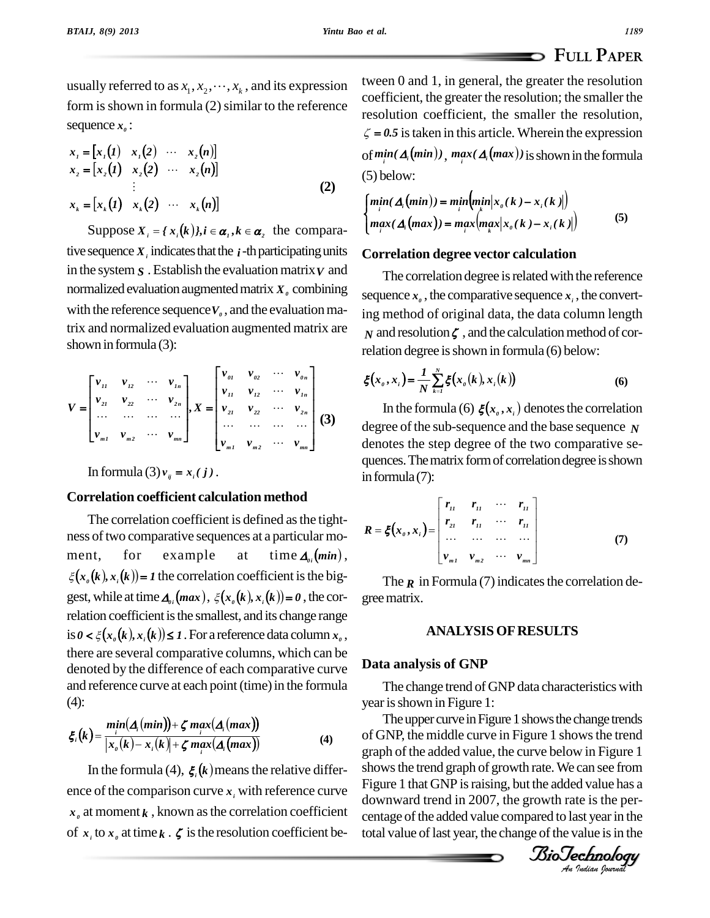# **FULL PAPER**

usually referred to as  $x_1, x_2, \dots, x_k$ , and its expression form is shown in formula  $(2)$  similar to the reference sequence  $x_{\theta}$  :  $x_e:$ <br>(1)  $x.(2) ... x.(n)$ 

$$
x_{1} = [x_{1}(1) \quad x_{1}(2) \quad \cdots \quad x_{2}(n)]
$$
  
\n
$$
x_{2} = [x_{2}(1) \quad x_{2}(2) \quad \cdots \quad x_{2}(n)]
$$
  
\n
$$
\vdots
$$
  
\n
$$
x_{k} = [x_{k}(1) \quad x_{k}(2) \quad \cdots \quad x_{k}(n)]
$$
\n(2)

Suppose  $X_i = \{x_i(k)\}\$ ,  $i \in \alpha_i$ ,  $k \in \alpha$ , the comparative sequence  $X_i$  indicates that the  $i$ -th participating units in the system  $S$ . Establish the evaluation matrix  $V$  and normalized evaluation augmented matrix  $X$ <sup>0</sup> combining with the reference sequence  $V_0$ , and the evaluation matrix and normalized evaluation augmented matrix are shown in formula  $(3)$ :

$$
V = \begin{bmatrix} v_{11} & v_{12} & \cdots & v_{1n} \\ v_{21} & v_{22} & \cdots & v_{2n} \\ \vdots & \vdots & \ddots & \vdots \\ v_{m1} & v_{m2} & \cdots & v_{mn} \end{bmatrix}, X = \begin{bmatrix} v_{01} & v_{02} & \cdots & v_{0n} \\ v_{11} & v_{12} & \cdots & v_{1n} \\ v_{21} & v_{22} & \cdots & v_{2n} \\ \vdots & \vdots & \ddots & \vdots \\ v_{m1} & v_{m2} & \cdots & v_{mn} \end{bmatrix}
$$
 (3) d

In formula (3)  $v_{ij} = x_i(j)$ .

# **Correlation coefficient calculation method**

The correlation coefficient is defined asthe tight ness of two comparative sequences at a particular mo-<br>ment, for example at time  $A_{\theta i}(min)$ , ment, for example at time  $\Delta_{0i}(min)$ ,<br> $\xi(x_a(k), x_i(k)) = 1$  the correlation coefficient is the biggest, while at time  $\Delta_{0i}(max)$ ,  $\xi(x_0(k), x_i(k)) = 0$ , the correlation coefficient is the smallest, and its change range<br>is  $0 < \xi(x_o(k), x_i(k)) \le 1$ . For a reference data column  $x_o$ , there are several comparative columns, which can be denoted by the difference of each comparative curve and reference curve at each point (time) in the formula  $\prod_{(4)}$ (4):

(4):  
\n
$$
\xi_i(k) = \frac{\min(\Delta_i(\min)) + \zeta \max(\Delta_i(\max))}{|x_o(k) - x_i(k)| + \zeta \max(i\Delta_i(\max))}
$$
\n(4)

In the formula (4),  $\xi$   $(k)$  means the relative difference of the comparison curve  $x_i$  with reference curve  $x_a$  at moment  $k$ , known as the correlation coefficient of  $x_i$  to  $x_g$  at time  $k \cdot \zeta$  is the resolution coefficient between 0 and 1, in general, the greater the resolution coefficient, the greater the resolution; the smaller the resolution coefficient, the smaller the resolution, resolution coefficient, the smaller the resolution,<br> $\zeta = 0.5$  is taken in this article. Wherein the expression  $\zeta = 0.5$  is taken in this article. Wherein the expression<br>
of  $min^i(A_i(min))$ ,  $max^i(A_i(max))$  is shown in the formula (5) below:

(5) below:  
\n
$$
\begin{cases}\n\min(\Delta_i(\min)) = \min_i \left( \min_k |x_o(k) - x_i(k)| \right) \\
\max(\Delta_i(\max)) = \max_i \left( \max_k |x_o(k) - x_i(k)| \right)\n\end{cases}
$$
\n(5)

## **Correlation degree vector calculation**

The correlation degree is related with the reference sequence  $x_i$ , the comparative sequence  $x_i$ , the converting method of original data, the data column length  *and resolution*  $\zeta$ *, and the calculation method of cor*relation degree is shown in formula (6) below:

$$
f(x_0, x_i) = \frac{1}{N} \sum_{k=1}^{N} \xi(x_0(k), x_i(k))
$$
\n(6)

 $\dots$   $\dots$   $\dots$   $\ldots$   $\vdots$   $\qquad \qquad$  degree of the sub-sequence and the base sequence *N* In the formula (6)  $\xi(x_0, x_1)$  denotes the correlation denotes the step degree of the two comparative se quences. The matrix form of correlation degree is shown in formula  $(7)$ :

$$
R = \xi(x_0, x_i) = \begin{bmatrix} r_{11} & r_{11} & \cdots & r_{11} \\ r_{21} & r_{11} & \cdots & r_{11} \\ \vdots & \vdots & \ddots & \vdots \\ r_{m1} & r_{m2} & \cdots & r_{mn} \end{bmatrix} \tag{7}
$$

The  $\bf{r}$  in Formula (7) indicates the correlation degreematrix.

# **ANALYSIS OFRESULTS**

# **Data analysis of GNP**

The change trend of GNP data characteristics with year is shown in Figure 1:

The upper curve in Figure 1 shows the change trends<br>FNP-the middle curve in Figure 1 shows the trend *An*showsthe trend graph of growth rate.We can see from of GNP, the middle curve in Figure 1 showsthe trend graph of the added value, the curve below in Figure 1 Figure 1 that GNP is raising, but the added value has a downward trend in 2007, the growth rate is the per centage of the added value compared to last year in the total value of last year, the change of the value is in the

*IsioTechnology*<br>An Indian Journal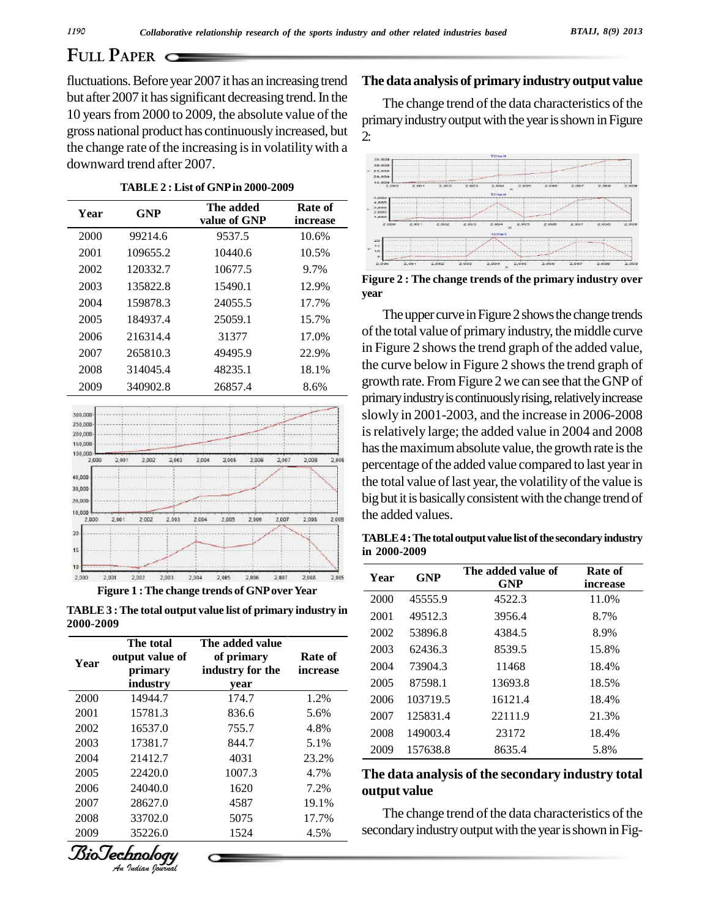# **FULL PAPER**

fluctuations. Before year 2007 it has an increasing trend but after 2007 it has significant decreasing trend. In the 10 years from 2000 to 2009, the absolute value of the gross national product has continuouslyincreased, but the change rate of the increasing is in volatility with a downward trend after 2007.

| 5.000                                     |                     |                           |            |      |
|-------------------------------------------|---------------------|---------------------------|------------|------|
| 4,000<br>5,000<br>2,000<br>1,000<br>2.000 | Rate of<br>increase | The added<br>value of GNP | <b>GNP</b> | Year |
| 29                                        | 10.6%               | 9537.5                    | 99214.6    | 2000 |
| 15<br>10                                  | 10.5%               | 10440.6                   | 109655.2   | 2001 |
| 2,000                                     | 9.7%                | 10677.5                   | 120332.7   | 2002 |
| <b>Figure 2</b>                           | 12.9%               | 15490.1                   | 135822.8   | 2003 |
| year                                      | 17.7%               | 24055.5                   | 159878.3   | 2004 |
| The                                       | 15.7%               | 25059.1                   | 184937.4   | 2005 |
| of the to                                 | 17.0%               | 31377                     | 216314.4   | 2006 |
| in Figur                                  | 22.9%               | 49495.9                   | 265810.3   | 2007 |
| the cur                                   | 18.1%               | 48235.1                   | 314045.4   | 2008 |
| growth                                    | 8.6%                | 26857.4                   | 340902.8   | 2009 |
| ---------                                 |                     |                           |            |      |



**TABLE3 :The total output value list of primary industry in 2000-2009**

| The total |                            |                                |                                                                                                                 |              |                          |                                                                                   |
|-----------|----------------------------|--------------------------------|-----------------------------------------------------------------------------------------------------------------|--------------|--------------------------|-----------------------------------------------------------------------------------|
|           | The added value            |                                | 2003                                                                                                            | 62436.3      | 8539.5                   | 15.8%                                                                             |
|           |                            |                                | 2004                                                                                                            | 73904.3      | 11468                    | 18.4%                                                                             |
| industry  | year                       |                                | 2005                                                                                                            | 87598.1      | 13693.8                  | 18.5%                                                                             |
| 14944.7   | 174.7                      | 1.2%                           | 2006                                                                                                            | 103719.5     | 16121.4                  | 18.4%                                                                             |
| 15781.3   | 836.6                      | 5.6%                           | 2007                                                                                                            | 125831.4     | 22111.9                  | 21.3%                                                                             |
| 16537.0   | 755.7                      | 4.8%                           |                                                                                                                 | 149003.4     |                          | 18.4%                                                                             |
| 17381.7   | 844.7                      | 5.1%                           |                                                                                                                 |              |                          | 5.8%                                                                              |
| 21412.7   | 4031                       | 23.2%                          |                                                                                                                 |              |                          |                                                                                   |
| 22420.0   | 1007.3                     | 4.7%                           |                                                                                                                 |              |                          |                                                                                   |
| 24040.0   | 1620                       | 7.2%                           |                                                                                                                 |              |                          |                                                                                   |
| 28627.0   | 4587                       | 19.1%                          |                                                                                                                 |              |                          |                                                                                   |
| 33702.0   | 5075                       | 17.7%                          | The change trend of the data characteristics of the<br>secondary industry output with the year is shown in Fig- |              |                          |                                                                                   |
| 35226.0   | 1524                       | 4.5%                           |                                                                                                                 |              |                          |                                                                                   |
|           | output value of<br>primary | of primary<br>industry for the | Rate of<br>increase                                                                                             | 2008<br>2009 | 157638.8<br>output value | 23172<br>8635.4<br>The data analysis of the secondary industry total<br>~ ~<br>-- |



#### **Thedata analysis of primary industry output value**

The change trend of the data characteristics of the primary industry output with the year is shown in Figure 2:



**Figure 2 : The change trends of the primary industry over year**

The upper curve in Figure 2 shows the change trends of the total value of primary industry, the middle curve in Figure 2 shows the trend graph of the added value, the curve below in Figure 2 shows the trend graph of growth rate. FromFigure 2 we can see that theGNP of primary industry is continuously rising, relatively increase slowly in 2001-2003, and the increase in 2006-2008 is relatively large; the added value in 2004 and 2008 has the maximum absolute value, the growth rate is the percentage of the added value compared to last year in the total value of last year, the volatility of the value is big but it is basically consistent with the change trend of the added values.

**TABLE4 :The totaloutputvalue listofthesecondary industry in 2000-2009**

| Year | <b>GNP</b> | The added value of<br><b>GNP</b> | Rate of<br>increase |
|------|------------|----------------------------------|---------------------|
| 2000 | 45555.9    | 4522.3                           | 11.0%               |
| 2001 | 49512.3    | 3956.4                           | 8.7%                |
| 2002 | 53896.8    | 4384.5                           | 8.9%                |
| 2003 | 62436.3    | 8539.5                           | 15.8%               |
| 2004 | 73904.3    | 11468                            | 18.4%               |
| 2005 | 87598.1    | 13693.8                          | 18.5%               |
| 2006 | 103719.5   | 16121.4                          | 18.4%               |
| 2007 | 125831.4   | 22111.9                          | 21.3%               |
| 2008 | 149003.4   | 23172                            | 18.4%               |
| 2009 | 157638.8   | 8635.4                           | 5.8%                |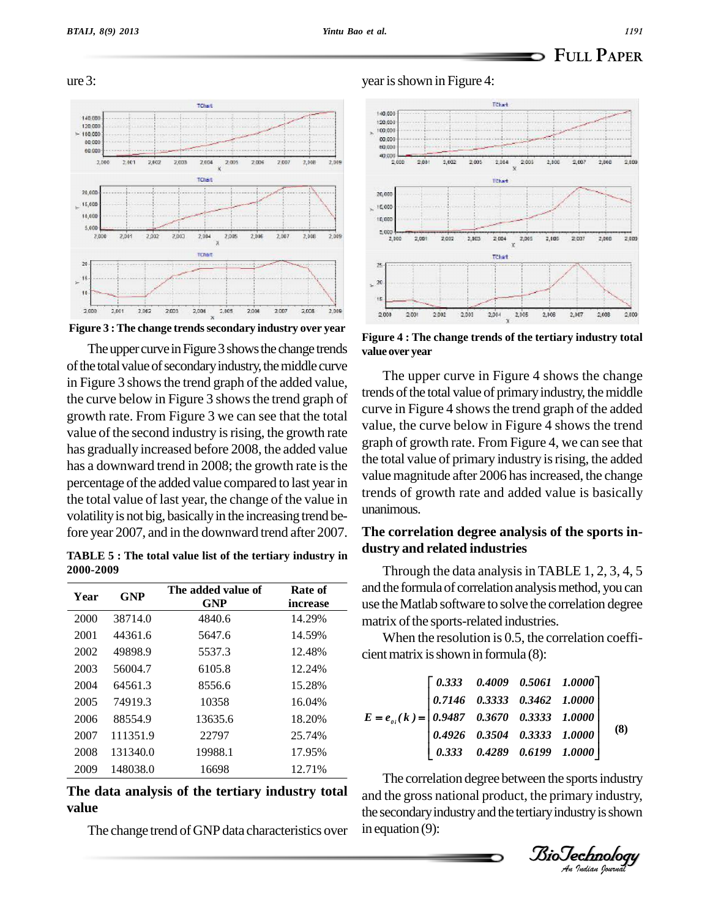ure 3:



**Figure 3 :The change trendssecondary industry over year**

The upper curve in Figure 3 shows the change trends of the total value of secondary industry, the middle curve in Figure 3 shows the trend graph of the added value, the curve below in Figure 3 shows the trend graph of growth rate. From Figure 3 we can see that the total value of the second industry is rising, the growth rate has gradually increased before 2008, the added value has a downward trend in 2008; the growth rate is the percentage of the added value compared to last year in the total value of last year, the change of the value in volatility is not big, basically in the increasing trend before year 2007, and in the downward trend after 2007.

**TABLE 5 : The total value list of the tertiary industry in 2000-2009**

| Year | <b>GNP</b> | The added value of<br><b>GNP</b> | Rate of<br>increase | and the formula of correlation analysis meth<br>use the Matlab software to solve the correla |
|------|------------|----------------------------------|---------------------|----------------------------------------------------------------------------------------------|
| 2000 | 38714.0    | 4840.6                           | 14.29%              | matrix of the sports-related industries.                                                     |
| 2001 | 44361.6    | 5647.6                           | 14.59%              | When the resolution is $0.5$ , the correlar                                                  |
| 2002 | 49898.9    | 5537.3                           | 12.48%              | cient matrix is shown in formula (8):                                                        |
| 2003 | 56004.7    | 6105.8                           | 12.24%              |                                                                                              |
| 2004 | 64561.3    | 8556.6                           | 15.28%              | 0.4009<br>0.5061 1.00<br>$\begin{array}{ c c }$ 0.333                                        |
| 2005 | 74919.3    | 10358                            | 16.04%              | 0.3333 0.3462 1.000<br>0.7146                                                                |
| 2006 | 88554.9    | 13635.6                          | 18.20%              | 0.3670<br>0.3333 1.00<br>$E = e_{ai}(k) =  0.9487 $                                          |
| 2007 | 111351.9   | 22797                            | 25.74%              | 0.3333 1.00<br>0.3504<br>0.4926                                                              |
| 2008 | 131340.0   | 19988.1                          | 17.95%              | 0.4289 0.6199 1.000<br>0.333                                                                 |
| 2009 | 148038.0   | 16698                            | 12.71%              | ---<br>$\mathbf{1}$ , and a set of $\mathbf{1}$<br>$\blacksquare$                            |

# **The data analysis of the tertiary industry total value**

The change trend of GNP data characteristics over

year is shown in Figure 4:



**Figure 4 : The change trends of the tertiary industry total value over year**

The upper curve in Figure 4 shows the change trends of the total value of primary industry, the middle curve in Figure 4 shows the trend graph of the added value, the curve below in Figure 4 shows the trend graph of growth rate. From Figure 4, we can see that the total value of primary industry is rising, the added value magnitude after 2006 has increased, the change trends of growth rate and added value is basically unanimous.

## **The correlation degree analysis of the sports in dustry and related industries**

Through the data analysis in TABLE  $1, 2, 3, 4, 5$ and the formula of correlation analysis method, you can use theMatlab software to solve the correlation degree

When the resolution is 0.5, the correlation coefficientmatrix isshown in formula (8):

| $E = e_{0i}(k) = \begin{bmatrix} 0.333 & 0.4009 & 0.5061 & 1.0000 \\ 0.7146 & 0.3333 & 0.3462 & 1.0000 \\ 0.9487 & 0.3670 & 0.3333 & 1.0000 \\ 0.4926 & 0.3504 & 0.3333 & 1.0000 \\ 0.333 & 0.4289 & 0.6199 & 1.0000 \end{bmatrix}$ |  |  |     |
|-------------------------------------------------------------------------------------------------------------------------------------------------------------------------------------------------------------------------------------|--|--|-----|
|                                                                                                                                                                                                                                     |  |  | (8) |
|                                                                                                                                                                                                                                     |  |  |     |

The correlation degree between the sports industry and the gross national product, the primary industry, the secondary industry and the tertiary industry is shown in equation (9):

*Indian Journal*